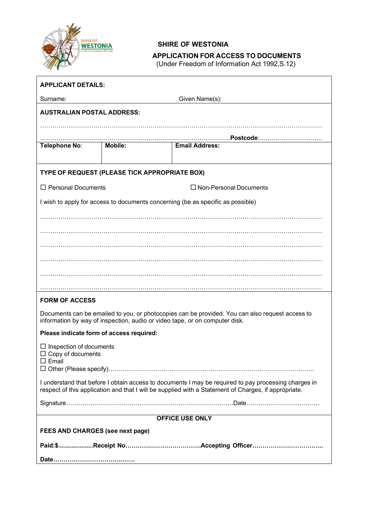

 $\overline{1}$ 

## **SHIRE OF WESTONIA**

# **APPLICATION FOR ACCESS TO DOCUMENTS**

(Under Freedom of Information Act 1992,S.12)

┑

| <b>APPLICANT DETAILS:</b>                                                                                                                                                                                    |                |                               |  |
|--------------------------------------------------------------------------------------------------------------------------------------------------------------------------------------------------------------|----------------|-------------------------------|--|
| Given Name(s):<br>Surname:                                                                                                                                                                                   |                |                               |  |
| <b>AUSTRALIAN POSTAL ADDRESS:</b>                                                                                                                                                                            |                |                               |  |
|                                                                                                                                                                                                              |                |                               |  |
|                                                                                                                                                                                                              |                |                               |  |
| Telephone No:                                                                                                                                                                                                | <b>Mobile:</b> | <b>Email Address:</b>         |  |
|                                                                                                                                                                                                              |                |                               |  |
| TYPE OF REQUEST (PLEASE TICK APPROPRIATE BOX)                                                                                                                                                                |                |                               |  |
| $\Box$ Personal Documents                                                                                                                                                                                    |                | $\Box$ Non-Personal Documents |  |
| I wish to apply for access to documents concerning (be as specific as possible)                                                                                                                              |                |                               |  |
|                                                                                                                                                                                                              |                |                               |  |
|                                                                                                                                                                                                              |                |                               |  |
|                                                                                                                                                                                                              |                |                               |  |
|                                                                                                                                                                                                              |                |                               |  |
|                                                                                                                                                                                                              |                |                               |  |
|                                                                                                                                                                                                              |                |                               |  |
| <b>FORM OF ACCESS</b>                                                                                                                                                                                        |                |                               |  |
|                                                                                                                                                                                                              |                |                               |  |
| Documents can be emailed to you, or photocopies can be provided. You can also request access to<br>information by way of inspection, audio or video tape, or on computer disk.                               |                |                               |  |
| Please indicate form of access required:                                                                                                                                                                     |                |                               |  |
| $\Box$ Inspection of documents                                                                                                                                                                               |                |                               |  |
| $\Box$ Copy of documents<br>$\square$ Email                                                                                                                                                                  |                |                               |  |
| □ Other (Please specify)……………………………………………………………………………………                                                                                                                                                     |                |                               |  |
| I understand that before I obtain access to documents I may be required to pay processing charges in<br>respect of this application and that I will be supplied with a Statement of Charges, if appropriate. |                |                               |  |
|                                                                                                                                                                                                              |                |                               |  |
| <b>OFFICE USE ONLY</b>                                                                                                                                                                                       |                |                               |  |
| <b>FEES AND CHARGES (see next page)</b>                                                                                                                                                                      |                |                               |  |
|                                                                                                                                                                                                              |                |                               |  |
|                                                                                                                                                                                                              |                |                               |  |